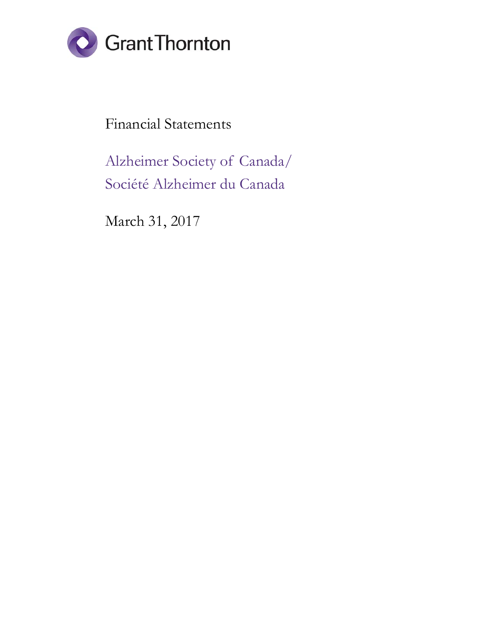

Financial Statements

Alzheimer Society of Canada/ Société Alzheimer du Canada

March 31, 2017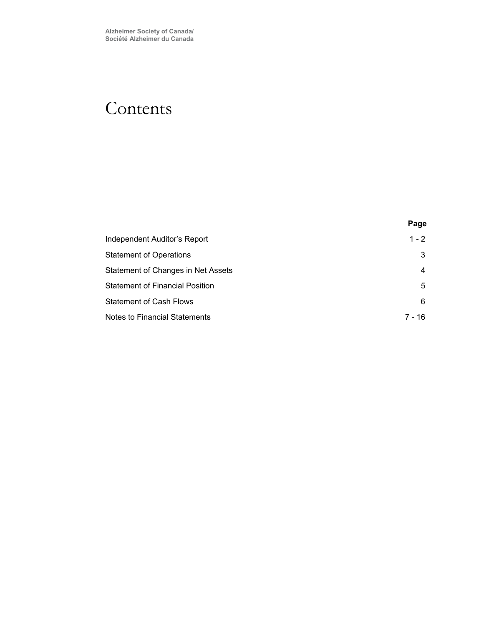# Contents

| Independent Auditor's Report         | $1 - 2$ |
|--------------------------------------|---------|
| Statement of Operations              | 3       |
| Statement of Changes in Net Assets   | 4       |
| Statement of Financial Position      | 5       |
| Statement of Cash Flows              | 6       |
| <b>Notes to Financial Statements</b> | 7 - 16  |

**Page**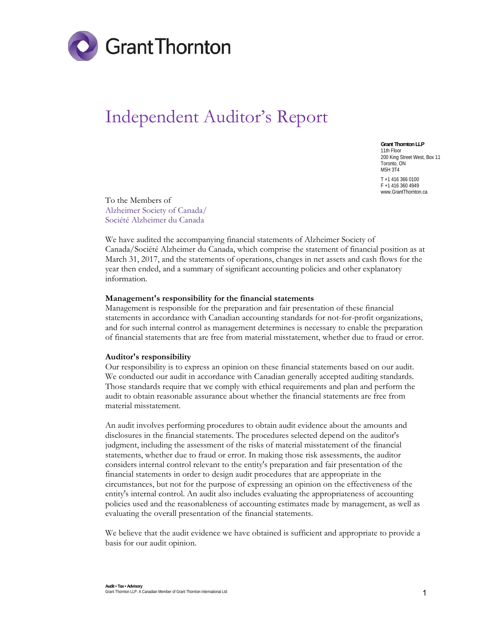

# Independent Auditor's Report

**Grant Thornton LLP**  11th Floor 200 King Street West, Box 11 Toronto, ON M5H 3T4 T +1 416 366 0100 F +1 416 360 4949 www.GrantThornton.ca

To the Members of Alzheimer Society of Canada/ Société Alzheimer du Canada

We have audited the accompanying financial statements of Alzheimer Society of Canada/Société Alzheimer du Canada, which comprise the statement of financial position as at March 31, 2017, and the statements of operations, changes in net assets and cash flows for the year then ended, and a summary of significant accounting policies and other explanatory information.

#### **Management's responsibility for the financial statements**

Management is responsible for the preparation and fair presentation of these financial statements in accordance with Canadian accounting standards for not-for-profit organizations, and for such internal control as management determines is necessary to enable the preparation of financial statements that are free from material misstatement, whether due to fraud or error.

#### **Auditor's responsibility**

Our responsibility is to express an opinion on these financial statements based on our audit. We conducted our audit in accordance with Canadian generally accepted auditing standards. Those standards require that we comply with ethical requirements and plan and perform the audit to obtain reasonable assurance about whether the financial statements are free from material misstatement.

An audit involves performing procedures to obtain audit evidence about the amounts and disclosures in the financial statements. The procedures selected depend on the auditor's judgment, including the assessment of the risks of material misstatement of the financial statements, whether due to fraud or error. In making those risk assessments, the auditor considers internal control relevant to the entity's preparation and fair presentation of the financial statements in order to design audit procedures that are appropriate in the circumstances, but not for the purpose of expressing an opinion on the effectiveness of the entity's internal control. An audit also includes evaluating the appropriateness of accounting policies used and the reasonableness of accounting estimates made by management, as well as evaluating the overall presentation of the financial statements.

We believe that the audit evidence we have obtained is sufficient and appropriate to provide a basis for our audit opinion.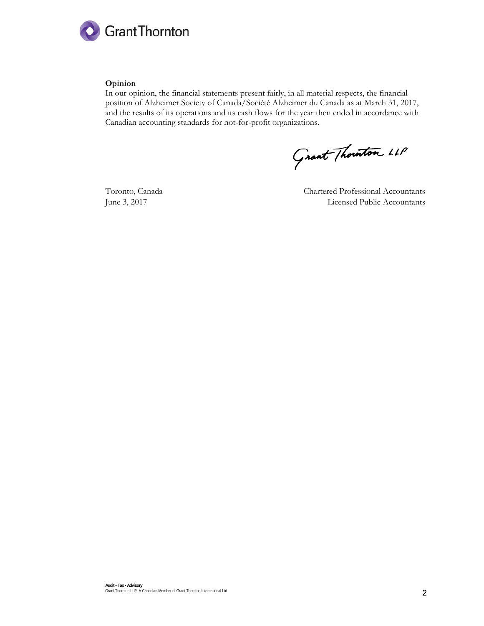

# **Opinion**

In our opinion, the financial statements present fairly, in all material respects, the financial position of Alzheimer Society of Canada/Société Alzheimer du Canada as at March 31, 2017, and the results of its operations and its cash flows for the year then ended in accordance with Canadian accounting standards for not-for-profit organizations.

Grant Thouston LLP

Toronto, Canada Chartered Professional Accountants June 3, 2017 Licensed Public Accountants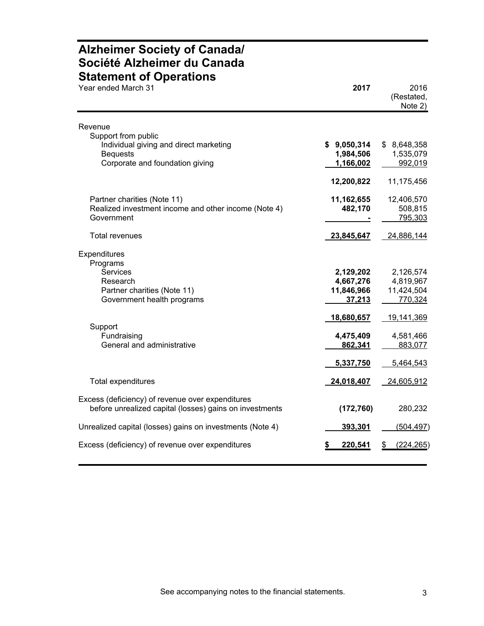# **Alzheimer Society of Canada/ Société Alzheimer du Canada Statement of Operations**

| Year ended March 31                                                                                                      | 2017                                                         | 2016<br>(Restated,<br>Note 2)                                 |
|--------------------------------------------------------------------------------------------------------------------------|--------------------------------------------------------------|---------------------------------------------------------------|
| Revenue                                                                                                                  |                                                              |                                                               |
| Support from public<br>Individual giving and direct marketing<br><b>Bequests</b><br>Corporate and foundation giving      | \$9,050,314<br>1,984,506<br>1,166,002                        | \$8,648,358<br>1,535,079<br>992,019                           |
|                                                                                                                          | 12,200,822                                                   | 11,175,456                                                    |
| Partner charities (Note 11)<br>Realized investment income and other income (Note 4)<br>Government                        | 11,162,655<br>482,170                                        | 12,406,570<br>508,815<br>795,303                              |
| <b>Total revenues</b>                                                                                                    | 23,845,647                                                   | 24,886,144                                                    |
| Expenditures<br>Programs<br>Services<br>Research<br>Partner charities (Note 11)<br>Government health programs<br>Support | 2,129,202<br>4,667,276<br>11,846,966<br>37,213<br>18,680,657 | 2,126,574<br>4,819,967<br>11,424,504<br>770,324<br>19,141,369 |
| Fundraising<br>General and administrative                                                                                | 4,475,409<br>862,341<br>5,337,750                            | 4,581,466<br>883,077<br>5,464,543                             |
| Total expenditures                                                                                                       | 24,018,407                                                   | 24,605,912                                                    |
| Excess (deficiency) of revenue over expenditures<br>before unrealized capital (losses) gains on investments              | (172, 760)                                                   | 280,232                                                       |
| Unrealized capital (losses) gains on investments (Note 4)                                                                | 393,301                                                      | <u>(504,497)</u>                                              |
| Excess (deficiency) of revenue over expenditures                                                                         | 220,541                                                      | (224, 265)                                                    |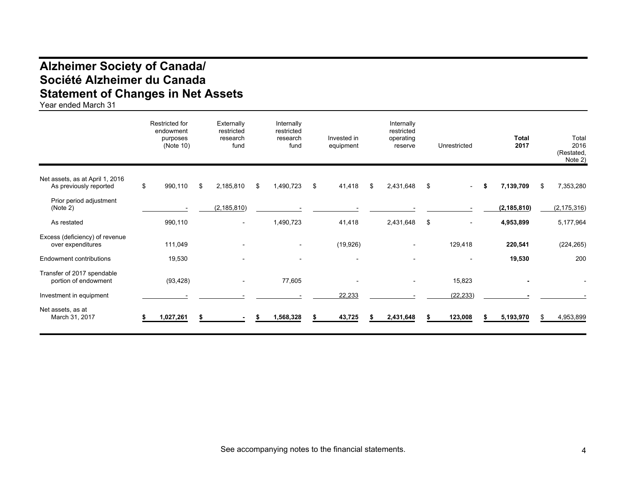# **Alzheimer Society of Canada/ Société Alzheimer du Canada Statement of Changes in Net Assets**

Year ended March 31

|                                                           | Restricted for<br>endowment<br>purposes<br>(Note 10) | Externally<br>restricted<br>research<br>fund | Internally<br>restricted<br>research<br>fund | Invested in<br>equipment | Internally<br>restricted<br>operating<br>reserve | Unrestricted |    | <b>Total</b><br>2017 | Total<br>2016<br>(Restated,<br>Note 2) |
|-----------------------------------------------------------|------------------------------------------------------|----------------------------------------------|----------------------------------------------|--------------------------|--------------------------------------------------|--------------|----|----------------------|----------------------------------------|
| Net assets, as at April 1, 2016<br>As previously reported | \$<br>990,110                                        | \$<br>2,185,810                              | \$<br>1,490,723                              | \$<br>41,418             | \$<br>2,431,648                                  | \$<br>$\sim$ | S. | 7,139,709            | \$<br>7,353,280                        |
| Prior period adjustment<br>(Note 2)                       |                                                      | (2, 185, 810)                                |                                              |                          |                                                  |              |    | (2, 185, 810)        | (2, 175, 316)                          |
| As restated                                               | 990,110                                              | $\sim$                                       | 1,490,723                                    | 41,418                   | 2,431,648                                        | \$           |    | 4,953,899            | 5,177,964                              |
| Excess (deficiency) of revenue<br>over expenditures       | 111,049                                              |                                              |                                              | (19, 926)                |                                                  | 129,418      |    | 220,541              | (224, 265)                             |
| Endowment contributions                                   | 19,530                                               |                                              |                                              | $\overline{\phantom{a}}$ |                                                  |              |    | 19,530               | 200                                    |
| Transfer of 2017 spendable<br>portion of endowment        | (93, 428)                                            |                                              | 77,605                                       |                          |                                                  | 15,823       |    |                      |                                        |
| Investment in equipment                                   |                                                      |                                              |                                              | 22,233                   |                                                  | (22, 233)    |    |                      |                                        |
| Net assets, as at<br>March 31, 2017                       | 1,027,261                                            |                                              | 1,568,328                                    | 43,725                   | 2,431,648                                        | 123,008      |    | 5,193,970            | 4,953,899                              |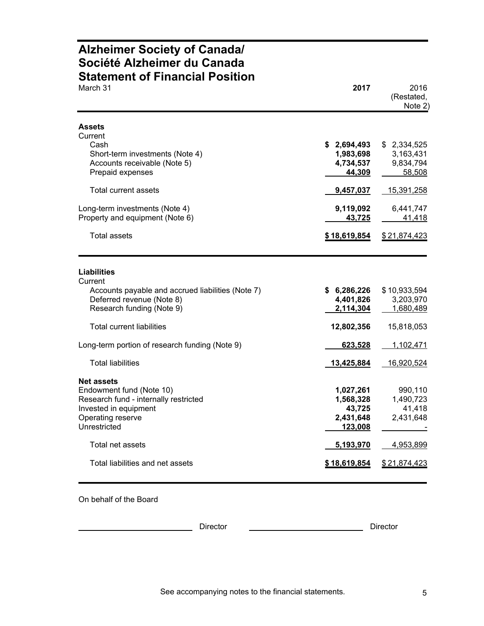# **Alzheimer Society of Canada/ Société Alzheimer du Canada Statement of Financial Position**

| March 31                                                                                                                                             | 2017                                                         | 2016<br>(Restated,<br>Note 2)                                 |
|------------------------------------------------------------------------------------------------------------------------------------------------------|--------------------------------------------------------------|---------------------------------------------------------------|
| <b>Assets</b><br>Current<br>Cash<br>Short-term investments (Note 4)<br>Accounts receivable (Note 5)<br>Prepaid expenses<br>Total current assets      | \$2,694,493<br>1,983,698<br>4,734,537<br>44,309<br>9,457,037 | \$2,334,525<br>3,163,431<br>9,834,794<br>58,508<br>15,391,258 |
| Long-term investments (Note 4)<br>Property and equipment (Note 6)                                                                                    | 9,119,092<br>43,725                                          | 6,441,747<br>41,418                                           |
| Total assets                                                                                                                                         | <u>\$18,619,854</u>                                          | \$21,874,423                                                  |
| Liabilities<br>Current<br>Accounts payable and accrued liabilities (Note 7)<br>Deferred revenue (Note 8)<br>Research funding (Note 9)                | \$6,286,226<br>4,401,826<br>2,114,304                        | \$10,933,594<br>3,203,970<br>1,680,489                        |
| <b>Total current liabilities</b><br>Long-term portion of research funding (Note 9)                                                                   | 12,802,356<br>623,528                                        | 15,818,053<br>1,102,471                                       |
| <b>Total liabilities</b>                                                                                                                             | 13,425,884                                                   | 16,920,524                                                    |
| <b>Net assets</b><br>Endowment fund (Note 10)<br>Research fund - internally restricted<br>Invested in equipment<br>Operating reserve<br>Unrestricted | 1,027,261<br>1,568,328<br>43,725<br>2,431,648<br>123,008     | 990,110<br>1,490,723<br>41,418<br>2,431,648                   |
| Total net assets                                                                                                                                     | 5,193,970                                                    | 4,953,899                                                     |
| Total liabilities and net assets                                                                                                                     | \$18,619,854                                                 | \$21,874,423                                                  |

On behalf of the Board

Director Director Director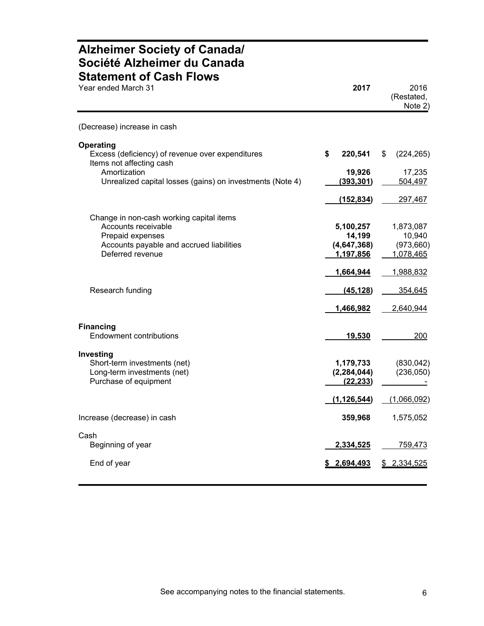# **Alzheimer Society of Canada/ Société Alzheimer du Canada Statement of Cash Flows**

| Year ended March 31                                                                                                                                                           | 2017                                                | 2016<br>(Restated,<br>Note 2)                    |
|-------------------------------------------------------------------------------------------------------------------------------------------------------------------------------|-----------------------------------------------------|--------------------------------------------------|
| (Decrease) increase in cash                                                                                                                                                   |                                                     |                                                  |
| <b>Operating</b><br>Excess (deficiency) of revenue over expenditures<br>Items not affecting cash<br>Amortization<br>Unrealized capital losses (gains) on investments (Note 4) | \$<br>220,541<br>19,926<br>(393, 301)<br>(152, 834) | \$<br>(224, 265)<br>17,235<br>504,497<br>297,467 |
| Change in non-cash working capital items<br>Accounts receivable<br>Prepaid expenses<br>Accounts payable and accrued liabilities<br>Deferred revenue                           | 5,100,257<br>14,199<br>(4,647,368)<br>1,197,856     | 1,873,087<br>10,940<br>(973,660)<br>1,078,465    |
| Research funding                                                                                                                                                              | 1,664,944<br>(45, 128)<br>1,466,982                 | 1,988,832<br>354,645<br>2,640,944                |
| <b>Financing</b><br>Endowment contributions                                                                                                                                   | 19,530                                              | 200                                              |
| Investing<br>Short-term investments (net)<br>Long-term investments (net)<br>Purchase of equipment                                                                             | 1,179,733<br>(2, 284, 044)<br>(22, 233)             | (830, 042)<br>(236,050)                          |
|                                                                                                                                                                               | (1, 126, 544)                                       | (1,066,092)                                      |
| Increase (decrease) in cash                                                                                                                                                   | 359,968                                             | 1,575,052                                        |
| Cash<br>Beginning of year<br>End of year                                                                                                                                      | 2,334,525<br>2,694,493                              | 759,473<br>2,334,525<br>\$                       |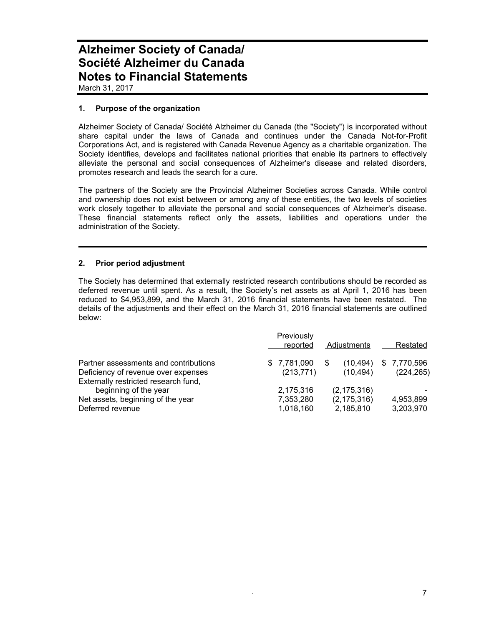March 31, 2017

# **1. Purpose of the organization**

Alzheimer Society of Canada/ Société Alzheimer du Canada (the "Society") is incorporated without share capital under the laws of Canada and continues under the Canada Not-for-Profit Corporations Act, and is registered with Canada Revenue Agency as a charitable organization. The Society identifies, develops and facilitates national priorities that enable its partners to effectively alleviate the personal and social consequences of Alzheimer's disease and related disorders, promotes research and leads the search for a cure.

The partners of the Society are the Provincial Alzheimer Societies across Canada. While control and ownership does not exist between or among any of these entities, the two levels of societies work closely together to alleviate the personal and social consequences of Alzheimer's disease. These financial statements reflect only the assets, liabilities and operations under the administration of the Society.

# **2. Prior period adjustment**

The Society has determined that externally restricted research contributions should be recorded as deferred revenue until spent. As a result, the Society's net assets as at April 1, 2016 has been reduced to \$4,953,899, and the March 31, 2016 financial statements have been restated. The details of the adjustments and their effect on the March 31, 2016 financial statements are outlined below:

|                                                                                                                      | Previously<br>reported              | Adjustments |                                             |  | Restated                  |
|----------------------------------------------------------------------------------------------------------------------|-------------------------------------|-------------|---------------------------------------------|--|---------------------------|
| Partner assessments and contributions<br>Deficiency of revenue over expenses<br>Externally restricted research fund, | \$7,781,090<br>(213, 771)           |             | (10, 494)<br>(10, 494)                      |  | \$7,770,596<br>(224, 265) |
| beginning of the year<br>Net assets, beginning of the year<br>Deferred revenue                                       | 2,175,316<br>7,353,280<br>1,018,160 |             | (2, 175, 316)<br>(2, 175, 316)<br>2,185,810 |  | 4,953,899<br>3,203,970    |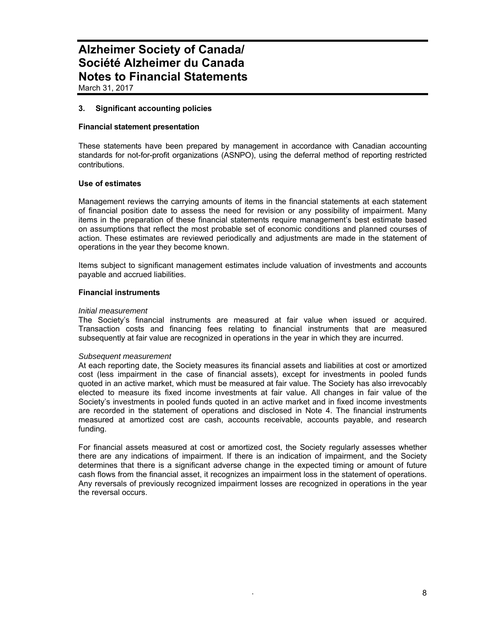# **3. Significant accounting policies**

#### **Financial statement presentation**

These statements have been prepared by management in accordance with Canadian accounting standards for not-for-profit organizations (ASNPO), using the deferral method of reporting restricted contributions.

### **Use of estimates**

Management reviews the carrying amounts of items in the financial statements at each statement of financial position date to assess the need for revision or any possibility of impairment. Many items in the preparation of these financial statements require management's best estimate based on assumptions that reflect the most probable set of economic conditions and planned courses of action. These estimates are reviewed periodically and adjustments are made in the statement of operations in the year they become known.

Items subject to significant management estimates include valuation of investments and accounts payable and accrued liabilities.

#### **Financial instruments**

#### *Initial measurement*

The Society's financial instruments are measured at fair value when issued or acquired. Transaction costs and financing fees relating to financial instruments that are measured subsequently at fair value are recognized in operations in the year in which they are incurred.

#### *Subsequent measurement*

At each reporting date, the Society measures its financial assets and liabilities at cost or amortized cost (less impairment in the case of financial assets), except for investments in pooled funds quoted in an active market, which must be measured at fair value. The Society has also irrevocably elected to measure its fixed income investments at fair value. All changes in fair value of the Society's investments in pooled funds quoted in an active market and in fixed income investments are recorded in the statement of operations and disclosed in Note 4. The financial instruments measured at amortized cost are cash, accounts receivable, accounts payable, and research funding.

For financial assets measured at cost or amortized cost, the Society regularly assesses whether there are any indications of impairment. If there is an indication of impairment, and the Society determines that there is a significant adverse change in the expected timing or amount of future cash flows from the financial asset, it recognizes an impairment loss in the statement of operations. Any reversals of previously recognized impairment losses are recognized in operations in the year the reversal occurs.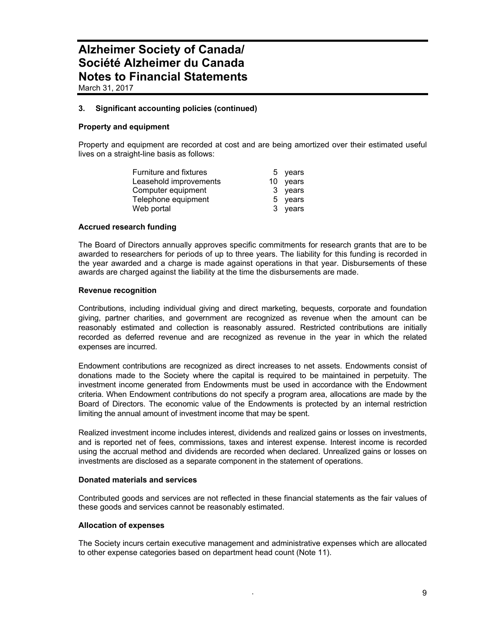# **3. Significant accounting policies (continued)**

# **Property and equipment**

Property and equipment are recorded at cost and are being amortized over their estimated useful lives on a straight-line basis as follows:

| <b>Furniture and fixtures</b> | 5 years  |
|-------------------------------|----------|
| Leasehold improvements        | 10 years |
| Computer equipment            | 3 years  |
| Telephone equipment           | 5 years  |
| Web portal                    | 3 years  |

### **Accrued research funding**

The Board of Directors annually approves specific commitments for research grants that are to be awarded to researchers for periods of up to three years. The liability for this funding is recorded in the year awarded and a charge is made against operations in that year. Disbursements of these awards are charged against the liability at the time the disbursements are made.

#### **Revenue recognition**

Contributions, including individual giving and direct marketing, bequests, corporate and foundation giving, partner charities, and government are recognized as revenue when the amount can be reasonably estimated and collection is reasonably assured. Restricted contributions are initially recorded as deferred revenue and are recognized as revenue in the year in which the related expenses are incurred.

Endowment contributions are recognized as direct increases to net assets. Endowments consist of donations made to the Society where the capital is required to be maintained in perpetuity. The investment income generated from Endowments must be used in accordance with the Endowment criteria. When Endowment contributions do not specify a program area, allocations are made by the Board of Directors. The economic value of the Endowments is protected by an internal restriction limiting the annual amount of investment income that may be spent.

Realized investment income includes interest, dividends and realized gains or losses on investments, and is reported net of fees, commissions, taxes and interest expense. Interest income is recorded using the accrual method and dividends are recorded when declared. Unrealized gains or losses on investments are disclosed as a separate component in the statement of operations.

### **Donated materials and services**

Contributed goods and services are not reflected in these financial statements as the fair values of these goods and services cannot be reasonably estimated.

### **Allocation of expenses**

The Society incurs certain executive management and administrative expenses which are allocated to other expense categories based on department head count (Note 11).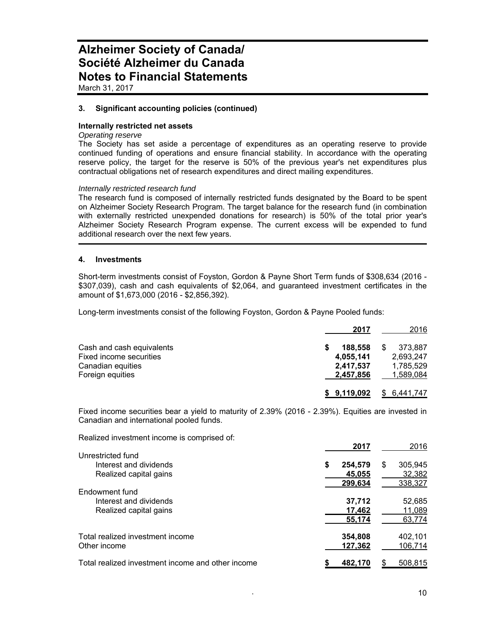March 31, 2017

# **3. Significant accounting policies (continued)**

# **Internally restricted net assets**

# *Operating reserve*

The Society has set aside a percentage of expenditures as an operating reserve to provide continued funding of operations and ensure financial stability. In accordance with the operating reserve policy, the target for the reserve is 50% of the previous year's net expenditures plus contractual obligations net of research expenditures and direct mailing expenditures.

#### *Internally restricted research fund*

The research fund is composed of internally restricted funds designated by the Board to be spent on Alzheimer Society Research Program. The target balance for the research fund (in combination with externally restricted unexpended donations for research) is 50% of the total prior year's Alzheimer Society Research Program expense. The current excess will be expended to fund additional research over the next few years.

#### **4. Investments**

Short-term investments consist of Foyston, Gordon & Payne Short Term funds of \$308,634 (2016 - \$307,039), cash and cash equivalents of \$2,064, and guaranteed investment certificates in the amount of \$1,673,000 (2016 - \$2,856,392).

Long-term investments consist of the following Foyston, Gordon & Payne Pooled funds:

|                           | 2017        | 2016        |
|---------------------------|-------------|-------------|
| Cash and cash equivalents | 188.558     | 373.887     |
| Fixed income securities   | 4,055,141   | 2,693,247   |
| Canadian equities         | 2,417,537   | 1,785,529   |
| Foreign equities          | 2,457,856   | 1,589,084   |
|                           | \$9,119,092 | \$6,441,747 |

Fixed income securities bear a yield to maturity of 2.39% (2016 - 2.39%). Equities are invested in Canadian and international pooled funds.

Realized investment income is comprised of:

|                                                   |   | 2017    |   | 2016    |
|---------------------------------------------------|---|---------|---|---------|
| Unrestricted fund                                 |   |         |   |         |
| Interest and dividends                            | S | 254,579 | S | 305,945 |
| Realized capital gains                            |   | 45,055  |   | 32,382  |
|                                                   |   | 299,634 |   | 338,327 |
| Endowment fund                                    |   |         |   |         |
| Interest and dividends                            |   | 37,712  |   | 52,685  |
| Realized capital gains                            |   | 17,462  |   | 11,089  |
|                                                   |   | 55,174  |   | 63,774  |
| Total realized investment income                  |   | 354,808 |   | 402,101 |
| Other income                                      |   | 127,362 |   | 106,714 |
| Total realized investment income and other income |   | 482,170 |   | 508,815 |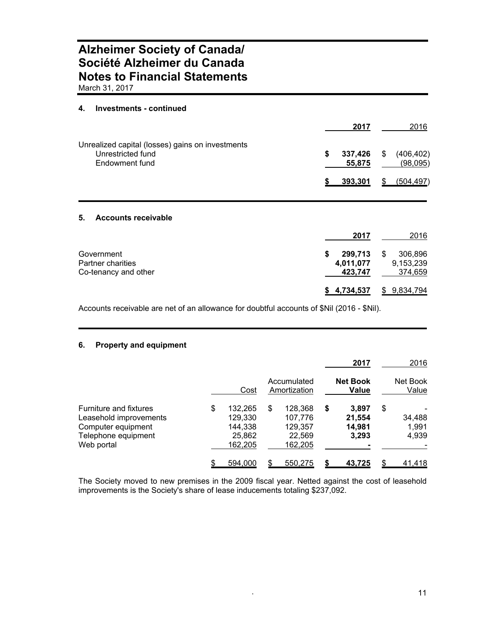March 31, 2017

# **4. Investments - continued**

|                                                  |   | 2017    |     | 2016       |
|--------------------------------------------------|---|---------|-----|------------|
| Unrealized capital (losses) gains on investments |   |         |     |            |
| Unrestricted fund                                | S | 337,426 | -\$ | (406, 402) |
| Endowment fund                                   |   | 55.875  |     | (98,095)   |
|                                                  |   | 393.301 | S   | (504, 497) |

# **5. Accounts receivable**

|                                                         | 2017                            | 2016                                 |
|---------------------------------------------------------|---------------------------------|--------------------------------------|
| Government<br>Partner charities<br>Co-tenancy and other | 299,713<br>4,011,077<br>423,747 | 306,896<br>S<br>9,153,239<br>374,659 |
|                                                         | \$4,734,537                     | \$9,834,794                          |

Accounts receivable are net of an allowance for doubtful accounts of \$Nil (2016 - \$Nil).

# **6. Property and equipment**

|                                                                                                             |                                                          |                                                          | 2017                                     | 2016                           |
|-------------------------------------------------------------------------------------------------------------|----------------------------------------------------------|----------------------------------------------------------|------------------------------------------|--------------------------------|
|                                                                                                             | Cost                                                     | Accumulated<br>Amortization                              | <b>Net Book</b><br><b>Value</b>          | Net Book<br>Value              |
| Furniture and fixtures<br>Leasehold improvements<br>Computer equipment<br>Telephone equipment<br>Web portal | \$<br>132.265<br>129,330<br>144,338<br>25,862<br>162,205 | \$<br>128.368<br>107,776<br>129,357<br>22,569<br>162,205 | \$<br>3.897<br>21,554<br>14,981<br>3,293 | \$<br>34,488<br>1,991<br>4,939 |
|                                                                                                             | 594,000                                                  | 550,275                                                  | 43,725                                   | 41,418                         |

The Society moved to new premises in the 2009 fiscal year. Netted against the cost of leasehold improvements is the Society's share of lease inducements totaling \$237,092.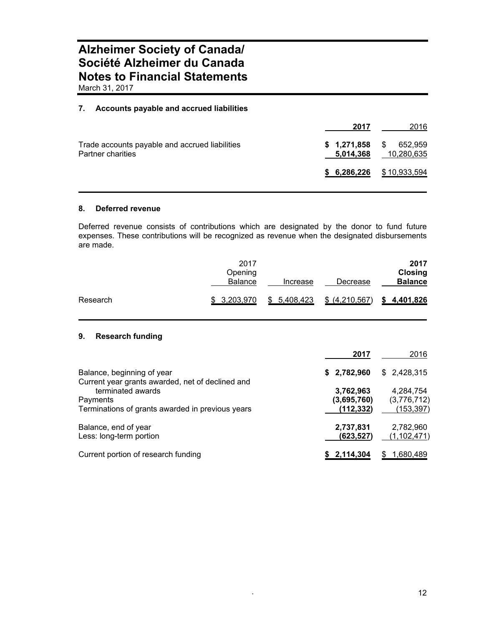March 31, 2017

# **7. Accounts payable and accrued liabilities**

|                                                                     | 2017 | 2016                                                   |
|---------------------------------------------------------------------|------|--------------------------------------------------------|
| Trade accounts payable and accrued liabilities<br>Partner charities |      | $$1,271,858$ $$652,959$<br><b>5,014,368</b> 10,280,635 |
|                                                                     |      | $$6,286,226$ $$10,933,594$                             |

# **8. Deferred revenue**

Deferred revenue consists of contributions which are designated by the donor to fund future expenses. These contributions will be recognized as revenue when the designated disbursements are made.

|          | 2017<br>Opening<br><b>Balance</b> | Increase    | Decrease       | 2017<br><b>Closing</b><br><b>Balance</b> |
|----------|-----------------------------------|-------------|----------------|------------------------------------------|
| Research | \$ 3,203,970                      | \$5,408,423 | \$ (4,210,567) | \$4,401,826                              |

# **9. Research funding**

|                                                                                   | 2017                                   | 2016                                   |
|-----------------------------------------------------------------------------------|----------------------------------------|----------------------------------------|
| Balance, beginning of year<br>Current year grants awarded, net of declined and    | \$2,782,960                            | \$2,428,315                            |
| terminated awards<br>Payments<br>Terminations of grants awarded in previous years | 3,762,963<br>(3,695,760)<br>(112, 332) | 4,284,754<br>(3,776,712)<br>(153, 397) |
| Balance, end of year<br>Less: long-term portion                                   | 2,737,831<br>(623,527)                 | 2,782,960<br>(1, 102, 471)             |
| Current portion of research funding                                               | \$2,114,304                            | 1,680,489                              |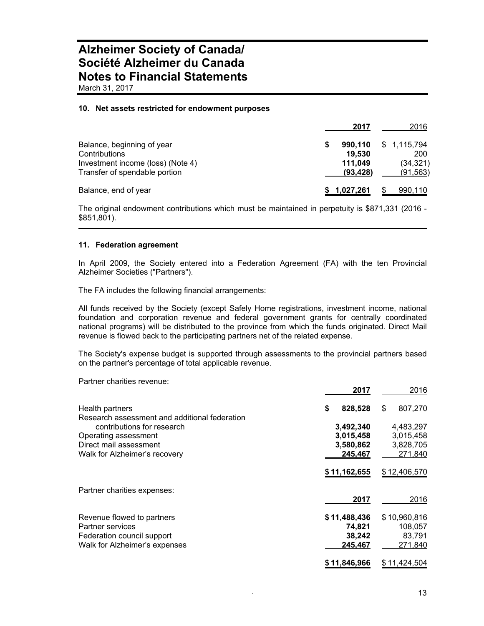#### **10. Net assets restricted for endowment purposes**

|                                                                                                                   | 2017                                      | 2016                                         |
|-------------------------------------------------------------------------------------------------------------------|-------------------------------------------|----------------------------------------------|
| Balance, beginning of year<br>Contributions<br>Investment income (loss) (Note 4)<br>Transfer of spendable portion | 990,110<br>19.530<br>111,049<br>(93, 428) | \$1,115,794<br>200<br>(34, 321)<br>(91, 563) |
| Balance, end of year                                                                                              | 1,027,261                                 | 990,110                                      |

The original endowment contributions which must be maintained in perpetuity is \$871,331 (2016 - \$851,801).

#### **11. Federation agreement**

In April 2009, the Society entered into a Federation Agreement (FA) with the ten Provincial Alzheimer Societies ("Partners").

The FA includes the following financial arrangements:

All funds received by the Society (except Safely Home registrations, investment income, national foundation and corporation revenue and federal government grants for centrally coordinated national programs) will be distributed to the province from which the funds originated. Direct Mail revenue is flowed back to the participating partners net of the related expense.

The Society's expense budget is supported through assessments to the provincial partners based on the partner's percentage of total applicable revenue.

Partner charities revenue:

|                                               | 2017          | 2016          |
|-----------------------------------------------|---------------|---------------|
| Health partners                               | 828,528<br>\$ | 807,270<br>\$ |
| Research assessment and additional federation |               |               |
| contributions for research                    | 3,492,340     | 4,483,297     |
| Operating assessment                          | 3,015,458     | 3,015,458     |
| Direct mail assessment                        | 3,580,862     | 3,828,705     |
| Walk for Alzheimer's recovery                 | 245,467       | 271,840       |
|                                               | \$11,162,655  | \$12,406,570  |
| Partner charities expenses:                   |               |               |
|                                               | 2017          | 2016          |
| Revenue flowed to partners                    | \$11,488,436  | \$10,960,816  |
| <b>Partner services</b>                       | 74,821        | 108,057       |
| Federation council support                    | 38,242        | 83,791        |
| Walk for Alzheimer's expenses                 | 245,467       | 271,840       |
|                                               | \$11,846,966  | \$11,424,504  |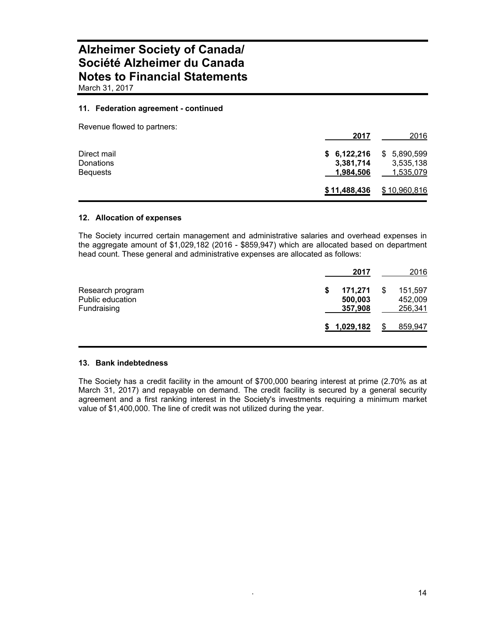# **11. Federation agreement - continued**

| Revenue flowed to partners: |                        |                           |
|-----------------------------|------------------------|---------------------------|
|                             | 2017                   | 2016                      |
| Direct mail<br>Donations    | \$6,122,216            | \$ 5,890,599<br>3,535,138 |
| <b>Bequests</b>             | 3,381,714<br>1,984,506 | 1,535,079                 |
|                             | \$11,488,436           | \$10,960,816              |

# **12. Allocation of expenses**

The Society incurred certain management and administrative salaries and overhead expenses in the aggregate amount of \$1,029,182 (2016 - \$859,947) which are allocated based on department head count. These general and administrative expenses are allocated as follows:

|                                                     | 2017                          | 2016                          |
|-----------------------------------------------------|-------------------------------|-------------------------------|
| Research program<br>Public education<br>Fundraising | 171,271<br>500,003<br>357,908 | 151,597<br>452,009<br>256,341 |
|                                                     | \$1,029,182                   | 859,947                       |

### **13. Bank indebtedness**

The Society has a credit facility in the amount of \$700,000 bearing interest at prime (2.70% as at March 31, 2017) and repayable on demand. The credit facility is secured by a general security agreement and a first ranking interest in the Society's investments requiring a minimum market value of \$1,400,000. The line of credit was not utilized during the year.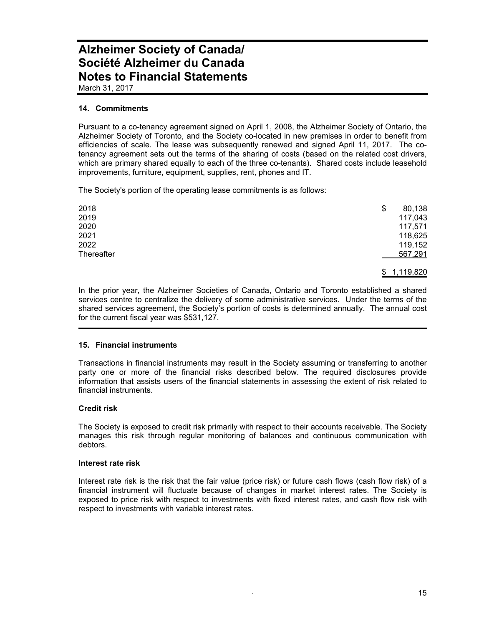March 31, 2017

# **14. Commitments**

Pursuant to a co-tenancy agreement signed on April 1, 2008, the Alzheimer Society of Ontario, the Alzheimer Society of Toronto, and the Society co-located in new premises in order to benefit from efficiencies of scale. The lease was subsequently renewed and signed April 11, 2017. The cotenancy agreement sets out the terms of the sharing of costs (based on the related cost drivers, which are primary shared equally to each of the three co-tenants). Shared costs include leasehold improvements, furniture, equipment, supplies, rent, phones and IT.

The Society's portion of the operating lease commitments is as follows:

| 2018       | \$<br>80,138 |
|------------|--------------|
| 2019       | 117,043      |
| 2020       | 117,571      |
| 2021       | 118,625      |
| 2022       | 119,152      |
| Thereafter | 567,291      |
|            |              |

\$ 1,119,820

In the prior year, the Alzheimer Societies of Canada, Ontario and Toronto established a shared services centre to centralize the delivery of some administrative services. Under the terms of the shared services agreement, the Society's portion of costs is determined annually. The annual cost for the current fiscal year was \$531,127.

### **15. Financial instruments**

Transactions in financial instruments may result in the Society assuming or transferring to another party one or more of the financial risks described below. The required disclosures provide information that assists users of the financial statements in assessing the extent of risk related to financial instruments.

# **Credit risk**

The Society is exposed to credit risk primarily with respect to their accounts receivable. The Society manages this risk through regular monitoring of balances and continuous communication with debtors.

### **Interest rate risk**

Interest rate risk is the risk that the fair value (price risk) or future cash flows (cash flow risk) of a financial instrument will fluctuate because of changes in market interest rates. The Society is exposed to price risk with respect to investments with fixed interest rates, and cash flow risk with respect to investments with variable interest rates.